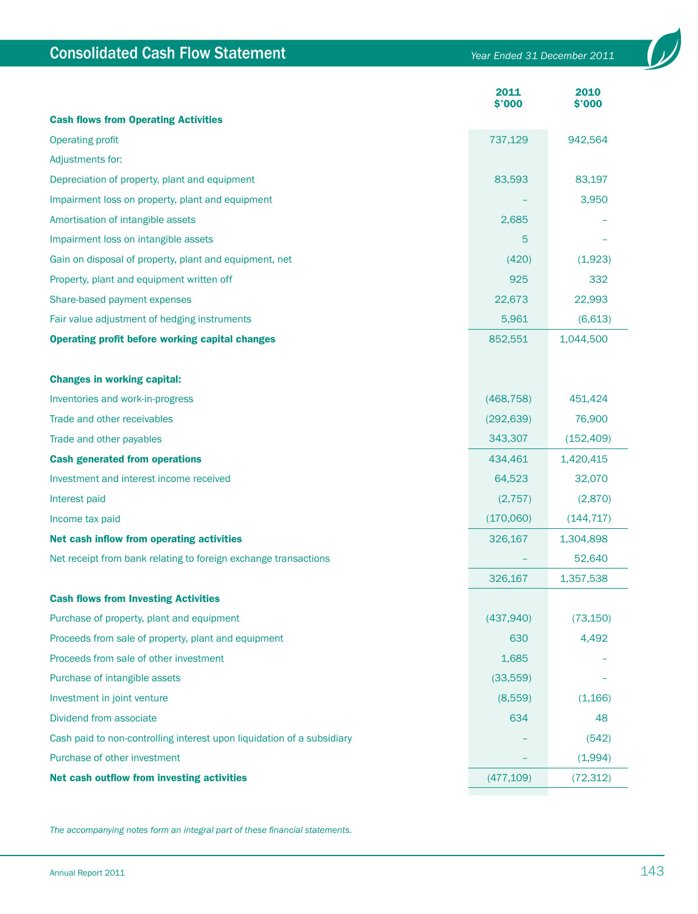| <b>Consolidated Cash Flow Statement</b>                                | Year Ended 31 December 2011 |                |  |
|------------------------------------------------------------------------|-----------------------------|----------------|--|
|                                                                        | 2011<br>\$'000              | 2010<br>\$'000 |  |
| <b>Cash flows from Operating Activities</b>                            |                             |                |  |
| <b>Operating profit</b>                                                | 737,129                     | 942,564        |  |
| <b>Adjustments for:</b>                                                |                             |                |  |
| Depreciation of property, plant and equipment                          | 83,593                      | 83,197         |  |
| Impairment loss on property, plant and equipment                       |                             | 3,950          |  |
| Amortisation of intangible assets                                      | 2,685                       |                |  |
| Impairment loss on intangible assets                                   | 5                           |                |  |
| Gain on disposal of property, plant and equipment, net                 | (420)                       | (1,923)        |  |
| Property, plant and equipment written off                              | 925                         | 332            |  |
| Share-based payment expenses                                           | 22,673                      | 22,993         |  |
| Fair value adjustment of hedging instruments                           | 5,961                       | (6,613)        |  |
| <b>Operating profit before working capital changes</b>                 | 852,551                     | 1,044,500      |  |
| <b>Changes in working capital:</b>                                     |                             |                |  |
| Inventories and work-in-progress                                       | (468, 758)                  | 451,424        |  |
| Trade and other receivables                                            | (292, 639)                  | 76,900         |  |
| Trade and other payables                                               | 343,307                     | (152, 409)     |  |
| <b>Cash generated from operations</b>                                  | 434,461                     | 1,420,415      |  |
| Investment and interest income received                                | 64,523                      | 32,070         |  |
| Interest paid                                                          | (2,757)                     | (2,870)        |  |
| Income tax paid                                                        | (170,060)                   | (144, 717)     |  |
| Net cash inflow from operating activities                              | 326,167                     | 1,304,898      |  |
| Net receipt from bank relating to foreign exchange transactions        |                             | 52,640         |  |
|                                                                        | 326,167                     | 1,357,538      |  |
| <b>Cash flows from Investing Activities</b>                            |                             |                |  |
| Purchase of property, plant and equipment                              | (437,940)                   | (73, 150)      |  |
| Proceeds from sale of property, plant and equipment                    | 630                         | 4,492          |  |
| Proceeds from sale of other investment                                 | 1,685                       |                |  |
| Purchase of intangible assets                                          | (33, 559)                   |                |  |
| Investment in joint venture                                            | (8,559)                     | (1,166)        |  |
| Dividend from associate                                                | 634                         | 48             |  |
| Cash paid to non-controlling interest upon liquidation of a subsidiary |                             | (542)          |  |
| Purchase of other investment                                           |                             | (1,994)        |  |
| Net cash outflow from investing activities                             | (477, 109)                  | (72, 312)      |  |
|                                                                        |                             |                |  |

*The accompanying notes form an integral part of these financial statements.*